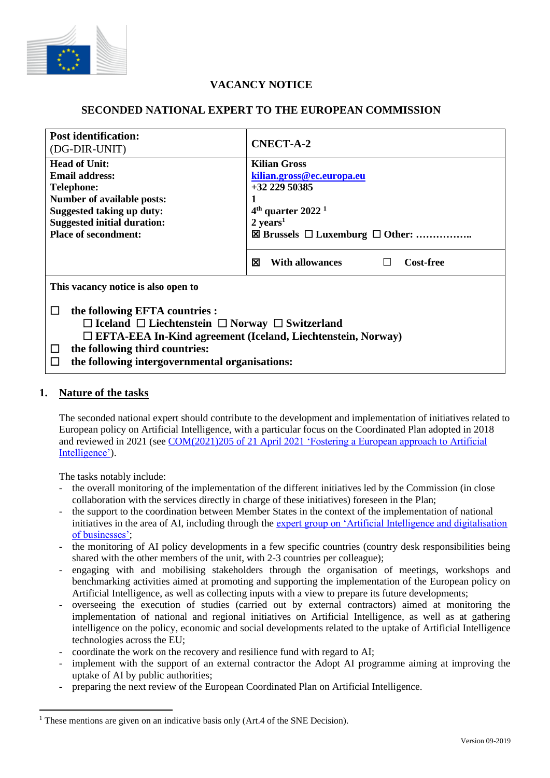

# **VACANCY NOTICE**

## **SECONDED NATIONAL EXPERT TO THE EUROPEAN COMMISSION**

| <b>Post identification:</b><br>(DG-DIR-UNIT)                         | <b>CNECT-A-2</b>                                    |
|----------------------------------------------------------------------|-----------------------------------------------------|
| <b>Head of Unit:</b>                                                 | <b>Kilian Gross</b>                                 |
| <b>Email address:</b>                                                | kilian.gross@ec.europa.eu                           |
| <b>Telephone:</b>                                                    | $+32$ 229 50385                                     |
| <b>Number of available posts:</b>                                    |                                                     |
| <b>Suggested taking up duty:</b>                                     | $4th$ quarter 2022 <sup>1</sup>                     |
| <b>Suggested initial duration:</b>                                   | $2 \text{ years}^1$                                 |
| <b>Place of secondment:</b>                                          | $\boxtimes$ Brussels $\Box$ Luxemburg $\Box$ Other: |
|                                                                      |                                                     |
|                                                                      | ⊠<br><b>With allowances</b><br><b>Cost-free</b>     |
| This vacancy notice is also open to                                  |                                                     |
| the following EFTA countries :                                       |                                                     |
| $\Box$ Iceland $\Box$ Liechtenstein $\Box$ Norway $\Box$ Switzerland |                                                     |
| $\Box$ EFTA-EEA In-Kind agreement (Iceland, Liechtenstein, Norway)   |                                                     |
|                                                                      |                                                     |
| the following third countries:<br>$\perp$                            |                                                     |
| the following intergovernmental organisations:                       |                                                     |

### **1. Nature of the tasks**

The seconded national expert should contribute to the development and implementation of initiatives related to European policy on Artificial Intelligence, with a particular focus on the Coordinated Plan adopted in 2018 and reviewed in 2021 (see COM(2021)205 of 21 April 2021 'Fostering a European approach to Artificial Intelligence').

The tasks notably include:

- the overall monitoring of the implementation of the different initiatives led by the Commission (in close collaboration with the services directly in charge of these initiatives) foreseen in the Plan;
- the support to the coordination between Member States in the context of the implementation of national initiatives in the area of AI, including through the expert group on 'Artificial Intelligence and digitalisation of businesses';
- the monitoring of AI policy developments in a few specific countries (country desk responsibilities being shared with the other members of the unit, with 2-3 countries per colleague);
- engaging with and mobilising stakeholders through the organisation of meetings, workshops and benchmarking activities aimed at promoting and supporting the implementation of the European policy on Artificial Intelligence, as well as collecting inputs with a view to prepare its future developments;
- overseeing the execution of studies (carried out by external contractors) aimed at monitoring the implementation of national and regional initiatives on Artificial Intelligence, as well as at gathering intelligence on the policy, economic and social developments related to the uptake of Artificial Intelligence technologies across the EU;
- coordinate the work on the recovery and resilience fund with regard to AI;
- implement with the support of an external contractor the Adopt AI programme aiming at improving the uptake of AI by public authorities;
- preparing the next review of the European Coordinated Plan on Artificial Intelligence.

<sup>&</sup>lt;sup>1</sup> These mentions are given on an indicative basis only (Art.4 of the SNE Decision).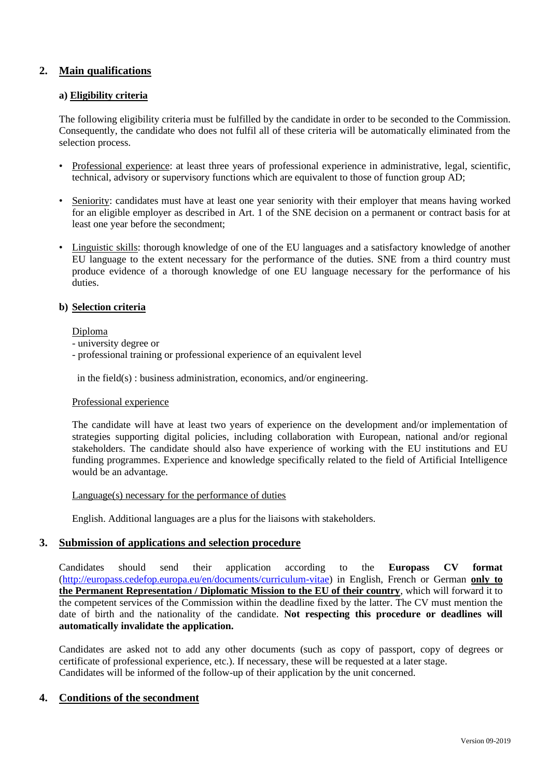## **2. Main qualifications**

#### **a) Eligibility criteria**

The following eligibility criteria must be fulfilled by the candidate in order to be seconded to the Commission. Consequently, the candidate who does not fulfil all of these criteria will be automatically eliminated from the selection process.

- Professional experience: at least three years of professional experience in administrative, legal, scientific, technical, advisory or supervisory functions which are equivalent to those of function group AD;
- Seniority: candidates must have at least one year seniority with their employer that means having worked for an eligible employer as described in Art. 1 of the SNE decision on a permanent or contract basis for at least one year before the secondment;
- Linguistic skills: thorough knowledge of one of the EU languages and a satisfactory knowledge of another EU language to the extent necessary for the performance of the duties. SNE from a third country must produce evidence of a thorough knowledge of one EU language necessary for the performance of his duties.

#### **b) Selection criteria**

#### Diploma

- university degree or
- professional training or professional experience of an equivalent level

in the field(s) : business administration, economics, and/or engineering.

#### Professional experience

The candidate will have at least two years of experience on the development and/or implementation of strategies supporting digital policies, including collaboration with European, national and/or regional stakeholders. The candidate should also have experience of working with the EU institutions and EU funding programmes. Experience and knowledge specifically related to the field of Artificial Intelligence would be an advantage.

#### Language(s) necessary for the performance of duties

English. Additional languages are a plus for the liaisons with stakeholders.

#### **3. Submission of applications and selection procedure**

Candidates should send their application according to the **Europass CV format**  [\(http://europass.cedefop.europa.eu/en/documents/curriculum-vitae\)](http://europass.cedefop.europa.eu/en/documents/curriculum-vitae) in English, French or German **only to the Permanent Representation / Diplomatic Mission to the EU of their country**, which will forward it to the competent services of the Commission within the deadline fixed by the latter. The CV must mention the date of birth and the nationality of the candidate. **Not respecting this procedure or deadlines will automatically invalidate the application.**

Candidates are asked not to add any other documents (such as copy of passport, copy of degrees or certificate of professional experience, etc.). If necessary, these will be requested at a later stage. Candidates will be informed of the follow-up of their application by the unit concerned.

### **4. Conditions of the secondment**